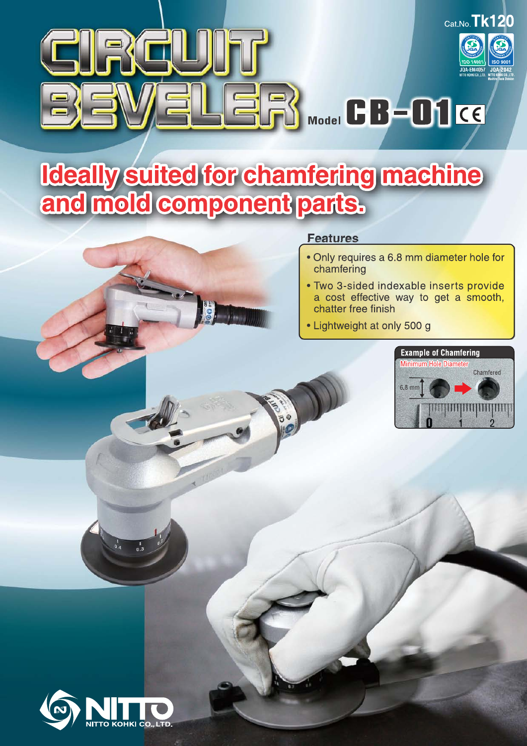

# **Ideally suited for chamfering machine<br>and mold component parts.**

## **Features**

- . Only requires a 6.8 mm diameter hole for chamfering
- · Two 3-sided indexable inserts provide a cost effective way to get a smooth, chatter free finish
- Lightweight at only 500 g



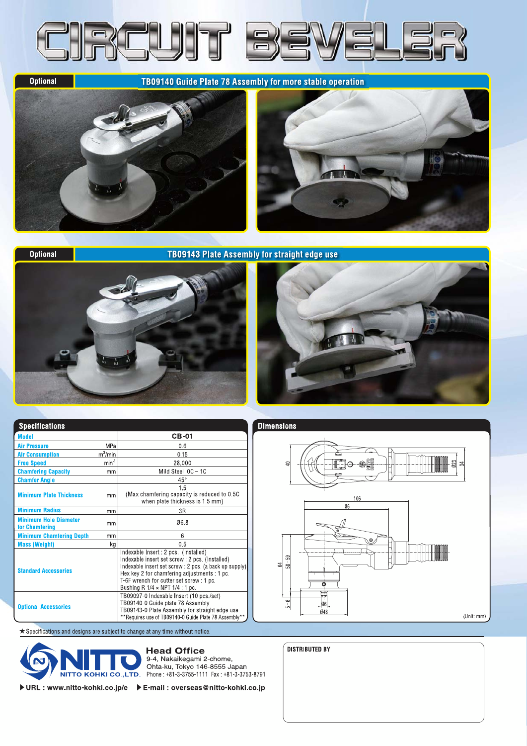

**Optional** 

TB09140 Guide Plate 78 Assembly for more stable operation



**Optional** 

### **TB09143 Plate Assembly for straight edge use**





| <b>Specifications</b>                          |                  |                                                                                                                                                                                                                                                                                          |  |  |  |
|------------------------------------------------|------------------|------------------------------------------------------------------------------------------------------------------------------------------------------------------------------------------------------------------------------------------------------------------------------------------|--|--|--|
| <b>Model</b>                                   |                  | CB-01                                                                                                                                                                                                                                                                                    |  |  |  |
| <b>Air Pressure</b>                            | <b>MPa</b>       | 0.6                                                                                                                                                                                                                                                                                      |  |  |  |
| <b>Air Consumption</b>                         | $m^3/m$ in       | 0.15                                                                                                                                                                                                                                                                                     |  |  |  |
| <b>Free Speed</b>                              | min <sup>1</sup> | 28,000                                                                                                                                                                                                                                                                                   |  |  |  |
| <b>Chamfering Capacity</b>                     | mm               | Mild Steel 0C-1C                                                                                                                                                                                                                                                                         |  |  |  |
| <b>Chamfer Angle</b>                           |                  | $45^{\circ}$                                                                                                                                                                                                                                                                             |  |  |  |
| <b>Minimum Plate Thickness</b>                 | mm               | 15<br>(Max chamfering capacity is reduced to 0.5C)<br>when plate thickness is 1.5 mm)                                                                                                                                                                                                    |  |  |  |
| <b>Minimum Radius</b>                          | mm               | 3R                                                                                                                                                                                                                                                                                       |  |  |  |
| <b>Minimum Hole Diameter</b><br>for Chamfering | mm               | 06.8                                                                                                                                                                                                                                                                                     |  |  |  |
| <b>Minimum Chamfering Depth</b>                | mm               | 6                                                                                                                                                                                                                                                                                        |  |  |  |
| <b>Mass (Weight)</b>                           | kg               | 0.5                                                                                                                                                                                                                                                                                      |  |  |  |
| <b>Standard Accessories</b>                    |                  | Indexable Insert: 2 pcs. (Installed)<br>Indexable insert set screw : 2 pcs. (Installed)<br>Indexable insert set screw : 2 pcs. (a back up supply)<br>Hex key 2 for chamfering adjustments : 1 pc.<br>T-6F wrench for cutter set screw: 1 pc.<br>Bushing R $1/4 \times$ NPT $1/4$ : 1 pc. |  |  |  |
| <b>Optional Accessories</b>                    |                  | TB09097-0 Indexable Insert (10 pcs/set)<br>TB09140-0 Guide plate 78 Assembly<br>TB09143-0 Plate Assembly for straight edge use<br>**Requires use of TB09140-0 Guide Plate 78 Assembly**                                                                                                  |  |  |  |

★ Specifications and designs are subject to change at any time without notice.



**Head Office** 9-4, Nakaikegami 2-chome,

Ohta-ku, Tokyo 146-8555 Japan<br>NITTO KOHKI CO.,LTD. Phone: +81-3-3755-1111 Fax: +81-3-3753-8791

▶ URL : www.nitto-kohki.co.jp/e ▶ E-mail : overseas@nitto-kohki.co.jp



| <b>DISTRIBUTED BY</b> |
|-----------------------|
|                       |
|                       |
|                       |
|                       |
|                       |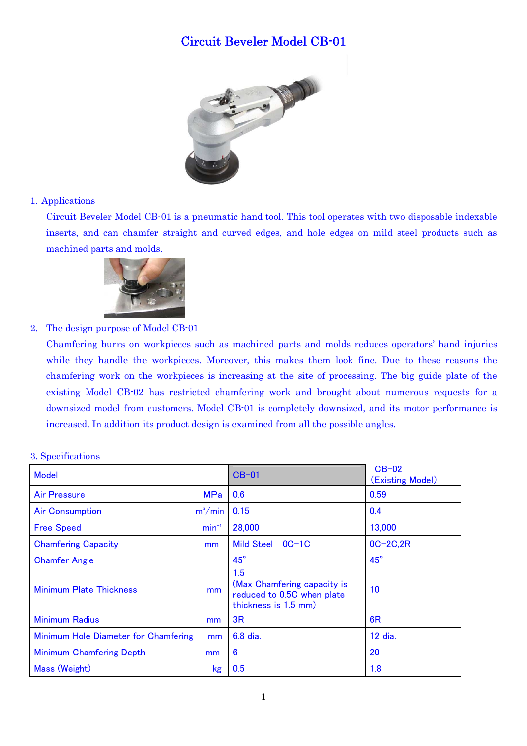# Circuit Beveler Model CB-01



#### 1. Applications

Circuit Beveler Model CB-01 is a pneumatic hand tool. This tool operates with two disposable indexable inserts, and can chamfer straight and curved edges, and hole edges on mild steel products such as machined parts and molds.



2. The design purpose of Model CB-01

Chamfering burrs on workpieces such as machined parts and molds reduces operators' hand injuries while they handle the workpieces. Moreover, this makes them look fine. Due to these reasons the chamfering work on the workpieces is increasing at the site of processing. The big guide plate of the existing Model CB-02 has restricted chamfering work and brought about numerous requests for a downsized model from customers. Model CB-01 is completely downsized, and its motor performance is increased. In addition its product design is examined from all the possible angles.

| <b>Model</b>                         |                | $CB-01$                                                                                  | $CB-02$<br>(Existing Model) |
|--------------------------------------|----------------|------------------------------------------------------------------------------------------|-----------------------------|
| <b>Air Pressure</b>                  | <b>MPa</b>     | 0.6                                                                                      | 0.59                        |
| <b>Air Consumption</b>               | $m^3/m$ in     | 0.15                                                                                     | 0.4                         |
| <b>Free Speed</b>                    | $min^{-1}$     | 28,000                                                                                   | 13,000                      |
| <b>Chamfering Capacity</b>           | mm             | <b>Mild Steel</b><br>$OC-1C$                                                             | $OC-2C, 2R$                 |
| <b>Chamfer Angle</b>                 |                | $45^\circ$                                                                               | $45^\circ$                  |
| <b>Minimum Plate Thickness</b>       | m <sub>m</sub> | 1.5<br>(Max Chamfering capacity is<br>reduced to 0.5C when plate<br>thickness is 1.5 mm) | 10                          |
| <b>Minimum Radius</b>                | <sub>mm</sub>  | 3R                                                                                       | 6R                          |
| Minimum Hole Diameter for Chamfering | mm             | 6.8 dia.                                                                                 | 12 dia.                     |
| <b>Minimum Chamfering Depth</b>      | mm             | 6                                                                                        | 20                          |
| Mass (Weight)                        | kg             | 0.5                                                                                      | 1.8                         |

#### 3. Specifications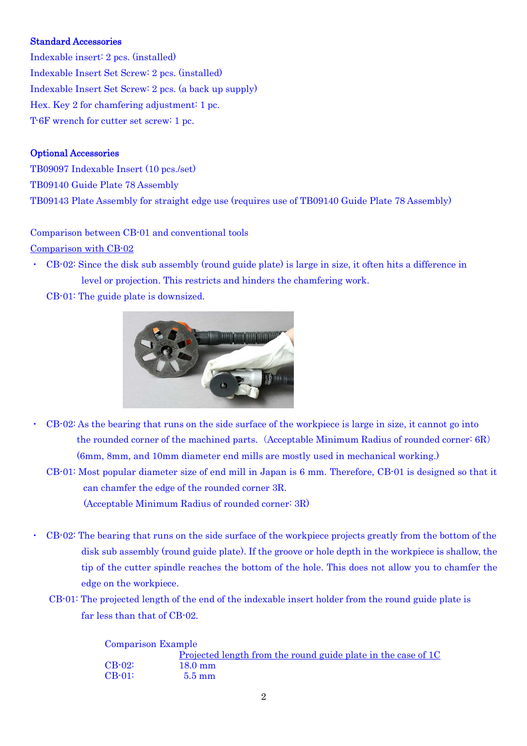#### Standard Accessories

Indexable insert: 2 pcs. (installed) Indexable Insert Set Screw: 2 pcs. (installed) Indexable Insert Set Screw: 2 pcs. (a back up supply) Hex. Key 2 for chamfering adjustment: 1 pc. T-6F wrench for cutter set screw: 1 pc.

#### Optional Accessories

TB09097 Indexable Insert (10 pcs./set) TB09140 Guide Plate 78 Assembly TB09143 Plate Assembly for straight edge use (requires use of TB09140 Guide Plate 78 Assembly)

#### Comparison between CB-01 and conventional tools

Comparison with CB-02

- ・ CB-02: Since the disk sub assembly (round guide plate) is large in size, it often hits a difference in level or projection. This restricts and hinders the chamfering work.
	- CB-01: The guide plate is downsized.



- ・ CB-02: As the bearing that runs on the side surface of the workpiece is large in size, it cannot go into the rounded corner of the machined parts. (Acceptable Minimum Radius of rounded corner:  $6R$ ) (6mm, 8mm, and 10mm diameter end mills are mostly used in mechanical working.)
	- CB-01: Most popular diameter size of end mill in Japan is 6 mm. Therefore, CB-01 is designed so that it can chamfer the edge of the rounded corner 3R. (Acceptable Minimum Radius of rounded corner: 3R)
- ・ CB-02: The bearing that runs on the side surface of the workpiece projects greatly from the bottom of the disk sub assembly (round guide plate). If the groove or hole depth in the workpiece is shallow, the tip of the cutter spindle reaches the bottom of the hole. This does not allow you to chamfer the edge on the workpiece.
	- CB-01: The projected length of the end of the indexable insert holder from the round guide plate is far less than that of CB-02.

| <b>Comparison Example</b> |                                                               |
|---------------------------|---------------------------------------------------------------|
|                           | Projected length from the round guide plate in the case of 1C |
| $\text{CB-}02$ :          | $18.0 \text{ mm}$                                             |
| $CR-01$ :                 | $5.5 \text{ mm}$                                              |